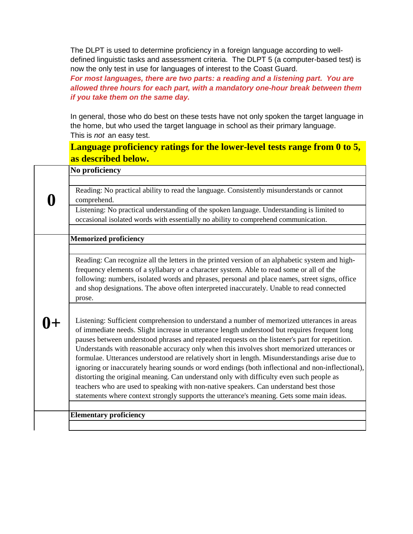The DLPT is used to determine proficiency in a foreign language according to welldefined linguistic tasks and assessment criteria. The DLPT 5 (a computer-based test) is now the only test in use for languages of interest to the Coast Guard.

*For most languages, there are two parts: a reading and a listening part. You are allowed three hours for each part, with a mandatory one-hour break between them if you take them on the same day.*

In general, those who do best on these tests have not only spoken the target language in the home, but who used the target language in school as their primary language. This is *not* an easy test.

## **Language proficiency ratings for the lower-level tests range from 0 to 5, as described below.**

|  | No proficiency                                                                                                                                                                                                                                                                                                                                                                                                                                                                                                                                                                                                                                                                                                                                                                                                                                                                        |
|--|---------------------------------------------------------------------------------------------------------------------------------------------------------------------------------------------------------------------------------------------------------------------------------------------------------------------------------------------------------------------------------------------------------------------------------------------------------------------------------------------------------------------------------------------------------------------------------------------------------------------------------------------------------------------------------------------------------------------------------------------------------------------------------------------------------------------------------------------------------------------------------------|
|  | Reading: No practical ability to read the language. Consistently misunderstands or cannot<br>comprehend.                                                                                                                                                                                                                                                                                                                                                                                                                                                                                                                                                                                                                                                                                                                                                                              |
|  | Listening: No practical understanding of the spoken language. Understanding is limited to<br>occasional isolated words with essentially no ability to comprehend communication.                                                                                                                                                                                                                                                                                                                                                                                                                                                                                                                                                                                                                                                                                                       |
|  |                                                                                                                                                                                                                                                                                                                                                                                                                                                                                                                                                                                                                                                                                                                                                                                                                                                                                       |
|  | <b>Memorized proficiency</b>                                                                                                                                                                                                                                                                                                                                                                                                                                                                                                                                                                                                                                                                                                                                                                                                                                                          |
|  | Reading: Can recognize all the letters in the printed version of an alphabetic system and high-<br>frequency elements of a syllabary or a character system. Able to read some or all of the<br>following: numbers, isolated words and phrases, personal and place names, street signs, office<br>and shop designations. The above often interpreted inaccurately. Unable to read connected<br>prose.                                                                                                                                                                                                                                                                                                                                                                                                                                                                                  |
|  | Listening: Sufficient comprehension to understand a number of memorized utterances in areas<br>of immediate needs. Slight increase in utterance length understood but requires frequent long<br>pauses between understood phrases and repeated requests on the listener's part for repetition.<br>Understands with reasonable accuracy only when this involves short memorized utterances or<br>formulae. Utterances understood are relatively short in length. Misunderstandings arise due to<br>ignoring or inaccurately hearing sounds or word endings (both inflectional and non-inflectional),<br>distorting the original meaning. Can understand only with difficulty even such people as<br>teachers who are used to speaking with non-native speakers. Can understand best those<br>statements where context strongly supports the utterance's meaning. Gets some main ideas. |
|  | <b>Elementary proficiency</b>                                                                                                                                                                                                                                                                                                                                                                                                                                                                                                                                                                                                                                                                                                                                                                                                                                                         |
|  |                                                                                                                                                                                                                                                                                                                                                                                                                                                                                                                                                                                                                                                                                                                                                                                                                                                                                       |
|  |                                                                                                                                                                                                                                                                                                                                                                                                                                                                                                                                                                                                                                                                                                                                                                                                                                                                                       |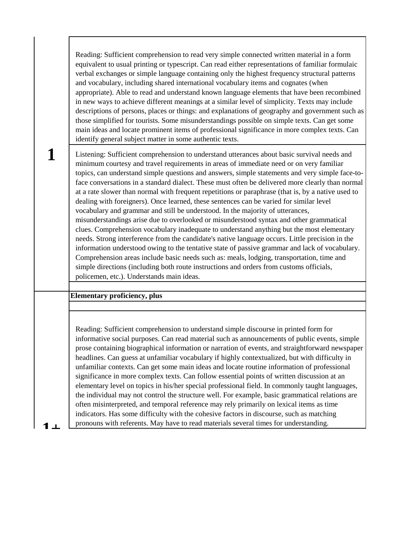| Reading: Sufficient comprehension to read very simple connected written material in a form<br>equivalent to usual printing or typescript. Can read either representations of familiar formulaic<br>verbal exchanges or simple language containing only the highest frequency structural patterns<br>and vocabulary, including shared international vocabulary items and cognates (when<br>appropriate). Able to read and understand known language elements that have been recombined<br>in new ways to achieve different meanings at a similar level of simplicity. Texts may include<br>descriptions of persons, places or things: and explanations of geography and government such as<br>those simplified for tourists. Some misunderstandings possible on simple texts. Can get some<br>main ideas and locate prominent items of professional significance in more complex texts. Can<br>identify general subject matter in some authentic texts.                                                                                                                                                                                                                                                                                                                                                             |
|--------------------------------------------------------------------------------------------------------------------------------------------------------------------------------------------------------------------------------------------------------------------------------------------------------------------------------------------------------------------------------------------------------------------------------------------------------------------------------------------------------------------------------------------------------------------------------------------------------------------------------------------------------------------------------------------------------------------------------------------------------------------------------------------------------------------------------------------------------------------------------------------------------------------------------------------------------------------------------------------------------------------------------------------------------------------------------------------------------------------------------------------------------------------------------------------------------------------------------------------------------------------------------------------------------------------|
| Listening: Sufficient comprehension to understand utterances about basic survival needs and<br>minimum courtesy and travel requirements in areas of immediate need or on very familiar<br>topics, can understand simple questions and answers, simple statements and very simple face-to-<br>face conversations in a standard dialect. These must often be delivered more clearly than normal<br>at a rate slower than normal with frequent repetitions or paraphrase (that is, by a native used to<br>dealing with foreigners). Once learned, these sentences can be varied for similar level<br>vocabulary and grammar and still be understood. In the majority of utterances,<br>misunderstandings arise due to overlooked or misunderstood syntax and other grammatical<br>clues. Comprehension vocabulary inadequate to understand anything but the most elementary<br>needs. Strong interference from the candidate's native language occurs. Little precision in the<br>information understood owing to the tentative state of passive grammar and lack of vocabulary.<br>Comprehension areas include basic needs such as: meals, lodging, transportation, time and<br>simple directions (including both route instructions and orders from customs officials,<br>policemen, etc.). Understands main ideas. |
| <b>Elementary proficiency, plus</b>                                                                                                                                                                                                                                                                                                                                                                                                                                                                                                                                                                                                                                                                                                                                                                                                                                                                                                                                                                                                                                                                                                                                                                                                                                                                                |
|                                                                                                                                                                                                                                                                                                                                                                                                                                                                                                                                                                                                                                                                                                                                                                                                                                                                                                                                                                                                                                                                                                                                                                                                                                                                                                                    |
| Reading: Sufficient comprehension to understand simple discourse in printed form for<br>informative social purposes. Can read material such as announcements of public events, simple<br>prose containing biographical information or narration of events, and straightforward newspaper<br>headlines. Can guess at unfamiliar vocabulary if highly contextualized, but with difficulty in<br>unfamiliar contexts. Can get some main ideas and locate routine information of professional<br>significance in more complex texts. Can follow essential points of written discussion at an<br>elementary level on topics in his/her special professional field. In commonly taught languages,<br>the individual may not control the structure well. For example, basic grammatical relations are<br>often misinterpreted, and temporal reference may rely primarily on lexical items as time<br>indicators. Has some difficulty with the cohesive factors in discourse, such as matching<br>pronouns with referents. May have to read materials several times for understanding.                                                                                                                                                                                                                                     |

 $\mathsf{l}$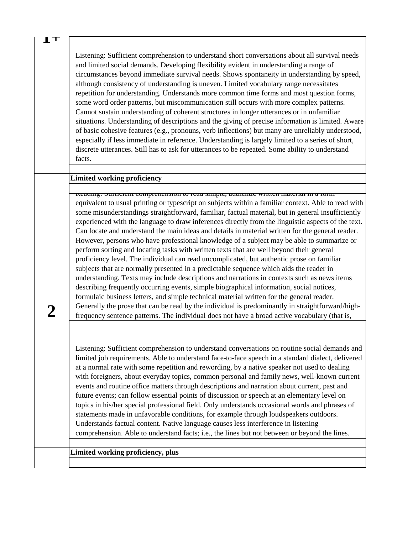Listening: Sufficient comprehension to understand short conversations about all survival needs and limited social demands. Developing flexibility evident in understanding a range of circumstances beyond immediate survival needs. Shows spontaneity in understanding by speed, although consistency of understanding is uneven. Limited vocabulary range necessitates repetition for understanding. Understands more common time forms and most question forms, some word order patterns, but miscommunication still occurs with more complex patterns. Cannot sustain understanding of coherent structures in longer utterances or in unfamiliar situations. Understanding of descriptions and the giving of precise information is limited. Aware of basic cohesive features (e.g., pronouns, verb inflections) but many are unreliably understood, especially if less immediate in reference. Understanding is largely limited to a series of short, discrete utterances. Still has to ask for utterances to be repeated. Some ability to understand facts.

#### **Limited working proficiency**

Reading: Sufficient comprehension to read simple, authentic written material in a form equivalent to usual printing or typescript on subjects within a familiar context. Able to read with some misunderstandings straightforward, familiar, factual material, but in general insufficiently experienced with the language to draw inferences directly from the linguistic aspects of the text. Can locate and understand the main ideas and details in material written for the general reader. However, persons who have professional knowledge of a subject may be able to summarize or perform sorting and locating tasks with written texts that are well beyond their general proficiency level. The individual can read uncomplicated, but authentic prose on familiar subjects that are normally presented in a predictable sequence which aids the reader in understanding. Texts may include descriptions and narrations in contexts such as news items describing frequently occurring events, simple biographical information, social notices, formulaic business letters, and simple technical material written for the general reader. Generally the prose that can be read by the individual is predominantly in straightforward/highfrequency sentence patterns. The individual does not have a broad active vocabulary (that is,

Listening: Sufficient comprehension to understand conversations on routine social demands and limited job requirements. Able to understand face-to-face speech in a standard dialect, delivered at a normal rate with some repetition and rewording, by a native speaker not used to dealing with foreigners, about everyday topics, common personal and family news, well-known current events and routine office matters through descriptions and narration about current, past and future events; can follow essential points of discussion or speech at an elementary level on topics in his/her special professional field. Only understands occasional words and phrases of statements made in unfavorable conditions, for example through loudspeakers outdoors. Understands factual content. Native language causes less interference in listening comprehension. Able to understand facts; i.e., the lines but not between or beyond the lines.

**Limited working proficiency, plus**

**1+**

**2**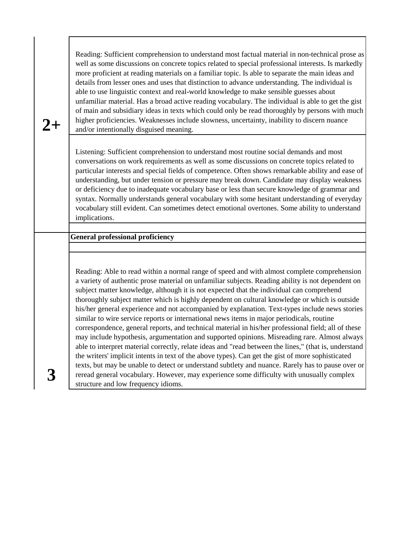| Reading: Sufficient comprehension to understand most factual material in non-technical prose as<br>well as some discussions on concrete topics related to special professional interests. Is markedly<br>more proficient at reading materials on a familiar topic. Is able to separate the main ideas and<br>details from lesser ones and uses that distinction to advance understanding. The individual is<br>able to use linguistic context and real-world knowledge to make sensible guesses about<br>unfamiliar material. Has a broad active reading vocabulary. The individual is able to get the gist<br>of main and subsidiary ideas in texts which could only be read thoroughly by persons with much<br>higher proficiencies. Weaknesses include slowness, uncertainty, inability to discern nuance<br>and/or intentionally disguised meaning.                                                                                                                                                                                                                                                                                                                                                                                                    |
|------------------------------------------------------------------------------------------------------------------------------------------------------------------------------------------------------------------------------------------------------------------------------------------------------------------------------------------------------------------------------------------------------------------------------------------------------------------------------------------------------------------------------------------------------------------------------------------------------------------------------------------------------------------------------------------------------------------------------------------------------------------------------------------------------------------------------------------------------------------------------------------------------------------------------------------------------------------------------------------------------------------------------------------------------------------------------------------------------------------------------------------------------------------------------------------------------------------------------------------------------------|
| Listening: Sufficient comprehension to understand most routine social demands and most<br>conversations on work requirements as well as some discussions on concrete topics related to<br>particular interests and special fields of competence. Often shows remarkable ability and ease of<br>understanding, but under tension or pressure may break down. Candidate may display weakness<br>or deficiency due to inadequate vocabulary base or less than secure knowledge of grammar and<br>syntax. Normally understands general vocabulary with some hesitant understanding of everyday<br>vocabulary still evident. Can sometimes detect emotional overtones. Some ability to understand<br>implications.                                                                                                                                                                                                                                                                                                                                                                                                                                                                                                                                              |
|                                                                                                                                                                                                                                                                                                                                                                                                                                                                                                                                                                                                                                                                                                                                                                                                                                                                                                                                                                                                                                                                                                                                                                                                                                                            |
| <b>General professional proficiency</b>                                                                                                                                                                                                                                                                                                                                                                                                                                                                                                                                                                                                                                                                                                                                                                                                                                                                                                                                                                                                                                                                                                                                                                                                                    |
|                                                                                                                                                                                                                                                                                                                                                                                                                                                                                                                                                                                                                                                                                                                                                                                                                                                                                                                                                                                                                                                                                                                                                                                                                                                            |
| Reading: Able to read within a normal range of speed and with almost complete comprehension<br>a variety of authentic prose material on unfamiliar subjects. Reading ability is not dependent on<br>subject matter knowledge, although it is not expected that the individual can comprehend<br>thoroughly subject matter which is highly dependent on cultural knowledge or which is outside<br>his/her general experience and not accompanied by explanation. Text-types include news stories<br>similar to wire service reports or international news items in major periodicals, routine<br>correspondence, general reports, and technical material in his/her professional field; all of these<br>may include hypothesis, argumentation and supported opinions. Misreading rare. Almost always<br>able to interpret material correctly, relate ideas and "read between the lines," (that is, understand<br>the writers' implicit intents in text of the above types). Can get the gist of more sophisticated<br>texts, but may be unable to detect or understand subtlety and nuance. Rarely has to pause over or<br>reread general vocabulary. However, may experience some difficulty with unusually complex<br>structure and low frequency idioms. |
|                                                                                                                                                                                                                                                                                                                                                                                                                                                                                                                                                                                                                                                                                                                                                                                                                                                                                                                                                                                                                                                                                                                                                                                                                                                            |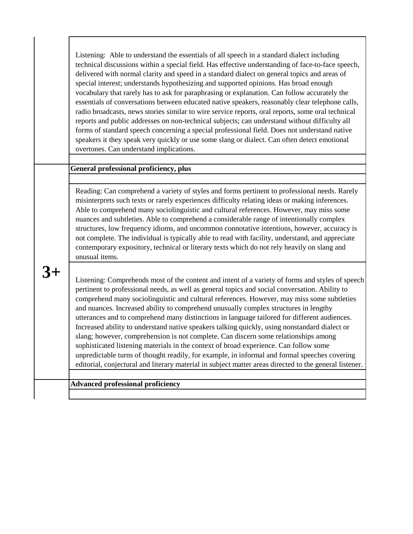Listening: Able to understand the essentials of all speech in a standard dialect including technical discussions within a special field. Has effective understanding of face-to-face speech, delivered with normal clarity and speed in a standard dialect on general topics and areas of special interest; understands hypothesizing and supported opinions. Has broad enough vocabulary that rarely has to ask for paraphrasing or explanation. Can follow accurately the essentials of conversations between educated native speakers, reasonably clear telephone calls, radio broadcasts, news stories similar to wire service reports, oral reports, some oral technical reports and public addresses on non-technical subjects; can understand without difficulty all forms of standard speech concerning a special professional field. Does not understand native speakers it they speak very quickly or use some slang or dialect. Can often detect emotional overtones. Can understand implications.

#### **General professional proficiency, plus**

Reading: Can comprehend a variety of styles and forms pertinent to professional needs. Rarely misinterprets such texts or rarely experiences difficulty relating ideas or making inferences. Able to comprehend many sociolinguistic and cultural references. However, may miss some nuances and subtleties. Able to comprehend a considerable range of intentionally complex structures, low frequency idioms, and uncommon connotative intentions, however, accuracy is not complete. The individual is typically able to read with facility, understand, and appreciate contemporary expository, technical or literary texts which do not rely heavily on slang and unusual items.

# **3+**

Listening: Comprehends most of the content and intent of a variety of forms and styles of speech pertinent to professional needs, as well as general topics and social conversation. Ability to comprehend many sociolinguistic and cultural references. However, may miss some subtleties and nuances. Increased ability to comprehend unusually complex structures in lengthy utterances and to comprehend many distinctions in language tailored for different audiences. Increased ability to understand native speakers talking quickly, using nonstandard dialect or slang; however, comprehension is not complete. Can discern some relationships among sophisticated listening materials in the context of broad experience. Can follow some unpredictable turns of thought readily, for example, in informal and formal speeches covering editorial, conjectural and literary material in subject matter areas directed to the general listener.

### **Advanced professional proficiency**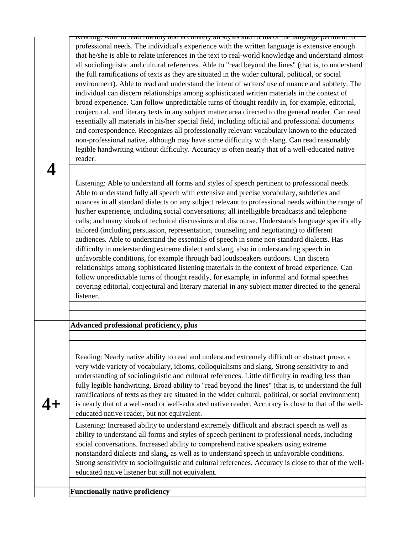Able to read fluently and accurately all styles and forms of the language pertin professional needs. The individual's experience with the written language is extensive enough that he/she is able to relate inferences in the text to real-world knowledge and understand almost all sociolinguistic and cultural references. Able to "read beyond the lines" (that is, to understand the full ramifications of texts as they are situated in the wider cultural, political, or social environment). Able to read and understand the intent of writers' use of nuance and subtlety. The individual can discern relationships among sophisticated written materials in the context of broad experience. Can follow unpredictable turns of thought readily in, for example, editorial, conjectural, and literary texts in any subject matter area directed to the general reader. Can read essentially all materials in his/her special field, including official and professional documents and correspondence. Recognizes all professionally relevant vocabulary known to the educated non-professional native, although may have some difficulty with slang. Can read reasonably legible handwriting without difficulty. Accuracy is often nearly that of a well-educated native reader.

# **4**

**4+**

Listening: Able to understand all forms and styles of speech pertinent to professional needs. Able to understand fully all speech with extensive and precise vocabulary, subtleties and nuances in all standard dialects on any subject relevant to professional needs within the range of his/her experience, including social conversations; all intelligible broadcasts and telephone calls; and many kinds of technical discussions and discourse. Understands language specifically tailored (including persuasion, representation, counseling and negotiating) to different audiences. Able to understand the essentials of speech in some non-standard dialects. Has difficulty in understanding extreme dialect and slang, also in understanding speech in unfavorable conditions, for example through bad loudspeakers outdoors. Can discern relationships among sophisticated listening materials in the context of broad experience. Can follow unpredictable turns of thought readily, for example, in informal and formal speeches covering editorial, conjectural and literary material in any subject matter directed to the general listener.

### **Advanced professional proficiency, plus**

Reading: Nearly native ability to read and understand extremely difficult or abstract prose, a very wide variety of vocabulary, idioms, colloquialisms and slang. Strong sensitivity to and understanding of sociolinguistic and cultural references. Little difficulty in reading less than fully legible handwriting. Broad ability to "read beyond the lines" (that is, to understand the full ramifications of texts as they are situated in the wider cultural, political, or social environment) is nearly that of a well-read or well-educated native reader. Accuracy is close to that of the welleducated native reader, but not equivalent.

Listening: Increased ability to understand extremely difficult and abstract speech as well as ability to understand all forms and styles of speech pertinent to professional needs, including social conversations. Increased ability to comprehend native speakers using extreme nonstandard dialects and slang, as well as to understand speech in unfavorable conditions. Strong sensitivity to sociolinguistic and cultural references. Accuracy is close to that of the welleducated native listener but still not equivalent.

**Functionally native proficiency**